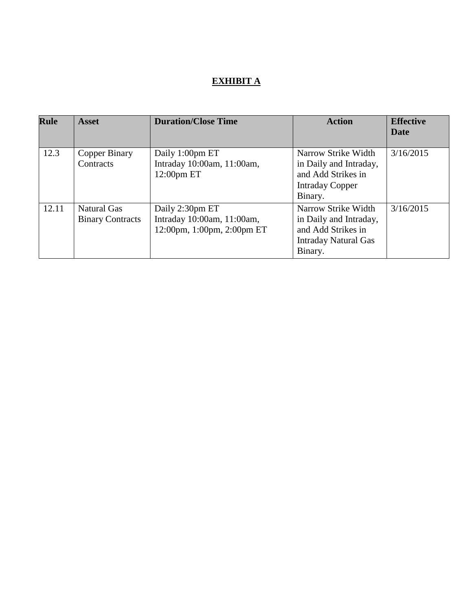# **EXHIBIT A**

| <b>Rule</b> | <b>Asset</b>                                  | <b>Duration/Close Time</b>                                                  | <b>Action</b>                                                                                                 | <b>Effective</b><br>Date |
|-------------|-----------------------------------------------|-----------------------------------------------------------------------------|---------------------------------------------------------------------------------------------------------------|--------------------------|
| 12.3        | Copper Binary<br>Contracts                    | Daily 1:00pm ET<br>Intraday 10:00am, 11:00am,<br>12:00pm ET                 | Narrow Strike Width<br>in Daily and Intraday,<br>and Add Strikes in<br><b>Intraday Copper</b><br>Binary.      | 3/16/2015                |
| 12.11       | <b>Natural Gas</b><br><b>Binary Contracts</b> | Daily 2:30pm ET<br>Intraday 10:00am, 11:00am,<br>12:00pm, 1:00pm, 2:00pm ET | Narrow Strike Width<br>in Daily and Intraday,<br>and Add Strikes in<br><b>Intraday Natural Gas</b><br>Binary. | 3/16/2015                |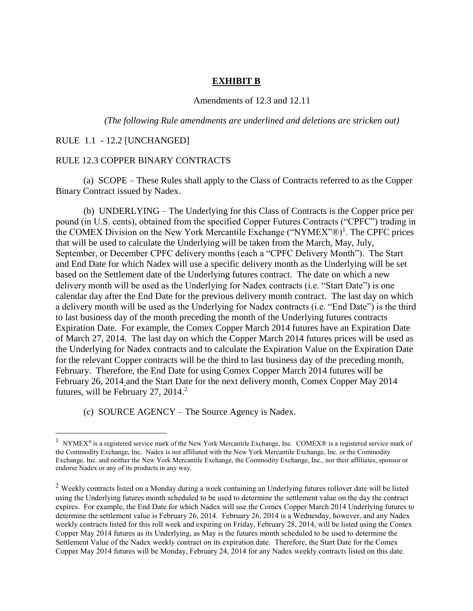### **EXHIBIT B**

#### Amendments of 12.3 and 12.11

*(The following Rule amendments are underlined and deletions are stricken out)*

### RULE 1.1 - 12.2 [UNCHANGED]

 $\overline{a}$ 

#### RULE 12.3 COPPER BINARY CONTRACTS

(a) SCOPE – These Rules shall apply to the Class of Contracts referred to as the Copper Binary Contract issued by Nadex.

(b) UNDERLYING – The Underlying for this Class of Contracts is the Copper price per pound (in U.S. cents), obtained from the specified Copper Futures Contracts ("CPFC") trading in the COMEX Division on the New York Mercantile Exchange ("NYMEX"®)<sup>1</sup>. The CPFC prices that will be used to calculate the Underlying will be taken from the March, May, July, September, or December CPFC delivery months (each a "CPFC Delivery Month"). The Start and End Date for which Nadex will use a specific delivery month as the Underlying will be set based on the Settlement date of the Underlying futures contract. The date on which a new delivery month will be used as the Underlying for Nadex contracts (i.e. "Start Date") is one calendar day after the End Date for the previous delivery month contract. The last day on which a delivery month will be used as the Underlying for Nadex contracts (i.e. "End Date") is the third to last business day of the month preceding the month of the Underlying futures contracts Expiration Date. For example, the Comex Copper March 2014 futures have an Expiration Date of March 27, 2014. The last day on which the Copper March 2014 futures prices will be used as the Underlying for Nadex contracts and to calculate the Expiration Value on the Expiration Date for the relevant Copper contracts will be the third to last business day of the preceding month, February. Therefore, the End Date for using Comex Copper March 2014 futures will be February 26, 2014 and the Start Date for the next delivery month, Comex Copper May 2014 futures, will be February 27, 2014. $^2$ 

(c) SOURCE AGENCY – The Source Agency is Nadex.

<sup>&</sup>lt;sup>1</sup> NYMEX<sup>®</sup> is a registered service mark of the New York Mercantile Exchange, Inc. COMEX® is a registered service mark of the Commodity Exchange, Inc. Nadex is not affiliated with the New York Mercantile Exchange, Inc. or the Commodity Exchange, Inc. and neither the New York Mercantile Exchange, the Commodity Exchange, Inc., nor their affiliates, sponsor or endorse Nadex or any of its products in any way.

<sup>&</sup>lt;sup>2</sup> Weekly contracts listed on a Monday during a week containing an Underlying futures rollover date will be listed using the Underlying futures month scheduled to be used to determine the settlement value on the day the contract expires. For example, the End Date for which Nadex will use the Comex Copper March 2014 Underlying futures to determine the settlement value is February 26, 2014. February 26, 2014 is a Wednesday, however, and any Nadex weekly contracts listed for this roll week and expiring on Friday, February 28, 2014, will be listed using the Comex Copper May 2014 futures as its Underlying, as May is the futures month scheduled to be used to determine the Settlement Value of the Nadex weekly contract on its expiration date. Therefore, the Start Date for the Comex Copper May 2014 futures will be Monday, February 24, 2014 for any Nadex weekly contracts listed on this date.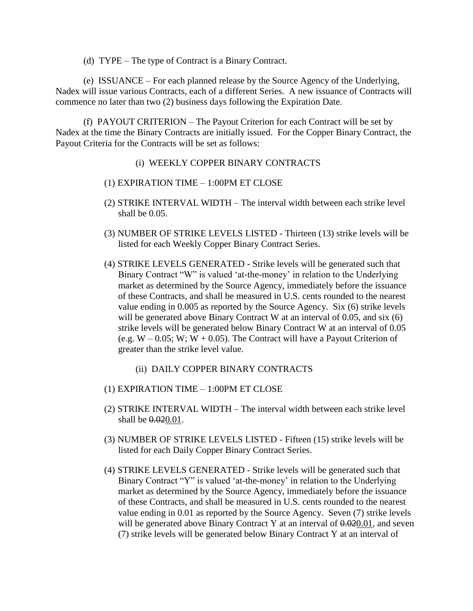(d) TYPE – The type of Contract is a Binary Contract.

(e) ISSUANCE – For each planned release by the Source Agency of the Underlying, Nadex will issue various Contracts, each of a different Series. A new issuance of Contracts will commence no later than two (2) business days following the Expiration Date.

(f) PAYOUT CRITERION – The Payout Criterion for each Contract will be set by Nadex at the time the Binary Contracts are initially issued. For the Copper Binary Contract, the Payout Criteria for the Contracts will be set as follows:

- (i) WEEKLY COPPER BINARY CONTRACTS
- (1) EXPIRATION TIME 1:00PM ET CLOSE
- (2) STRIKE INTERVAL WIDTH The interval width between each strike level shall be 0.05.
- (3) NUMBER OF STRIKE LEVELS LISTED Thirteen (13) strike levels will be listed for each Weekly Copper Binary Contract Series.
- (4) STRIKE LEVELS GENERATED Strike levels will be generated such that Binary Contract "W" is valued 'at-the-money' in relation to the Underlying market as determined by the Source Agency, immediately before the issuance of these Contracts, and shall be measured in U.S. cents rounded to the nearest value ending in 0.005 as reported by the Source Agency. Six (6) strike levels will be generated above Binary Contract W at an interval of 0.05, and six (6) strike levels will be generated below Binary Contract W at an interval of 0.05 (e.g.  $W - 0.05$ ; W;  $W + 0.05$ ). The Contract will have a Payout Criterion of greater than the strike level value.
	- (ii) DAILY COPPER BINARY CONTRACTS
- (1) EXPIRATION TIME 1:00PM ET CLOSE
- (2) STRIKE INTERVAL WIDTH The interval width between each strike level shall be  $0.020.01$ .
- (3) NUMBER OF STRIKE LEVELS LISTED Fifteen (15) strike levels will be listed for each Daily Copper Binary Contract Series.
- (4) STRIKE LEVELS GENERATED Strike levels will be generated such that Binary Contract "Y" is valued 'at-the-money' in relation to the Underlying market as determined by the Source Agency, immediately before the issuance of these Contracts, and shall be measured in U.S. cents rounded to the nearest value ending in 0.01 as reported by the Source Agency. Seven (7) strike levels will be generated above Binary Contract Y at an interval of  $0.02001$ , and seven (7) strike levels will be generated below Binary Contract Y at an interval of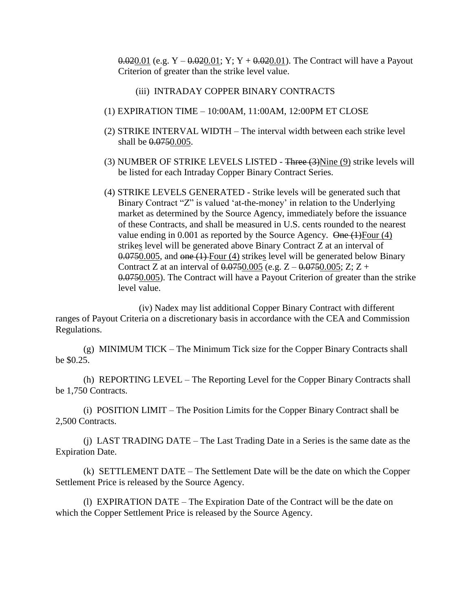$0.020.01$  (e.g.  $Y - 0.020.01$ ;  $Y: Y + 0.020.01$ ). The Contract will have a Payout Criterion of greater than the strike level value.

- (iii) INTRADAY COPPER BINARY CONTRACTS
- (1) EXPIRATION TIME 10:00AM, 11:00AM, 12:00PM ET CLOSE
- (2) STRIKE INTERVAL WIDTH The interval width between each strike level shall be  $0.0750.005$ .
- (3) NUMBER OF STRIKE LEVELS LISTED Three (3)Nine (9) strike levels will be listed for each Intraday Copper Binary Contract Series.
- (4) STRIKE LEVELS GENERATED Strike levels will be generated such that Binary Contract "Z" is valued 'at-the-money' in relation to the Underlying market as determined by the Source Agency, immediately before the issuance of these Contracts, and shall be measured in U.S. cents rounded to the nearest value ending in 0.001 as reported by the Source Agency.  $\Theta$ ne (1)Four (4) strikes level will be generated above Binary Contract Z at an interval of 0.0750.005, and one (1) Four (4) strikes level will be generated below Binary Contract Z at an interval of  $0.0750.005$  (e.g.  $Z - 0.0750.005$ ; Z; Z + 0.0750.005). The Contract will have a Payout Criterion of greater than the strike level value.

(iv) Nadex may list additional Copper Binary Contract with different ranges of Payout Criteria on a discretionary basis in accordance with the CEA and Commission Regulations.

(g) MINIMUM TICK – The Minimum Tick size for the Copper Binary Contracts shall be \$0.25.

(h) REPORTING LEVEL – The Reporting Level for the Copper Binary Contracts shall be 1,750 Contracts.

(i) POSITION LIMIT – The Position Limits for the Copper Binary Contract shall be 2,500 Contracts.

(j) LAST TRADING DATE – The Last Trading Date in a Series is the same date as the Expiration Date.

(k) SETTLEMENT DATE – The Settlement Date will be the date on which the Copper Settlement Price is released by the Source Agency.

(l) EXPIRATION DATE – The Expiration Date of the Contract will be the date on which the Copper Settlement Price is released by the Source Agency.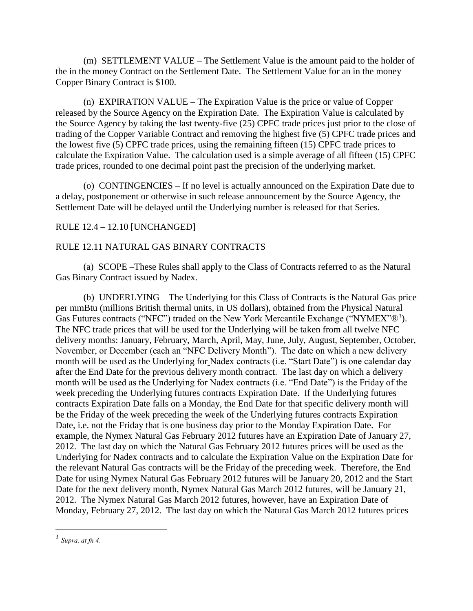(m) SETTLEMENT VALUE – The Settlement Value is the amount paid to the holder of the in the money Contract on the Settlement Date. The Settlement Value for an in the money Copper Binary Contract is \$100.

(n) EXPIRATION VALUE – The Expiration Value is the price or value of Copper released by the Source Agency on the Expiration Date. The Expiration Value is calculated by the Source Agency by taking the last twenty-five (25) CPFC trade prices just prior to the close of trading of the Copper Variable Contract and removing the highest five (5) CPFC trade prices and the lowest five (5) CPFC trade prices, using the remaining fifteen (15) CPFC trade prices to calculate the Expiration Value. The calculation used is a simple average of all fifteen (15) CPFC trade prices, rounded to one decimal point past the precision of the underlying market.

(o) CONTINGENCIES – If no level is actually announced on the Expiration Date due to a delay, postponement or otherwise in such release announcement by the Source Agency, the Settlement Date will be delayed until the Underlying number is released for that Series.

# RULE 12.4 – 12.10 [UNCHANGED]

### RULE 12.11 NATURAL GAS BINARY CONTRACTS

(a) SCOPE –These Rules shall apply to the Class of Contracts referred to as the Natural Gas Binary Contract issued by Nadex.

(b) UNDERLYING – The Underlying for this Class of Contracts is the Natural Gas price per mmBtu (millions British thermal units, in US dollars), obtained from the Physical Natural Gas Futures contracts ("NFC") traded on the New York Mercantile Exchange ("NYMEX"®<sup>3</sup>). The NFC trade prices that will be used for the Underlying will be taken from all twelve NFC delivery months: January, February, March, April, May, June, July, August, September, October, November, or December (each an "NFC Delivery Month"). The date on which a new delivery month will be used as the Underlying for Nadex contracts (i.e. "Start Date") is one calendar day after the End Date for the previous delivery month contract. The last day on which a delivery month will be used as the Underlying for Nadex contracts (i.e. "End Date") is the Friday of the week preceding the Underlying futures contracts Expiration Date. If the Underlying futures contracts Expiration Date falls on a Monday, the End Date for that specific delivery month will be the Friday of the week preceding the week of the Underlying futures contracts Expiration Date, i.e. not the Friday that is one business day prior to the Monday Expiration Date. For example, the Nymex Natural Gas February 2012 futures have an Expiration Date of January 27, 2012. The last day on which the Natural Gas February 2012 futures prices will be used as the Underlying for Nadex contracts and to calculate the Expiration Value on the Expiration Date for the relevant Natural Gas contracts will be the Friday of the preceding week. Therefore, the End Date for using Nymex Natural Gas February 2012 futures will be January 20, 2012 and the Start Date for the next delivery month, Nymex Natural Gas March 2012 futures, will be January 21, 2012. The Nymex Natural Gas March 2012 futures, however, have an Expiration Date of Monday, February 27, 2012. The last day on which the Natural Gas March 2012 futures prices

 $\overline{a}$ 

<sup>3</sup> *Supra, at fn 4*.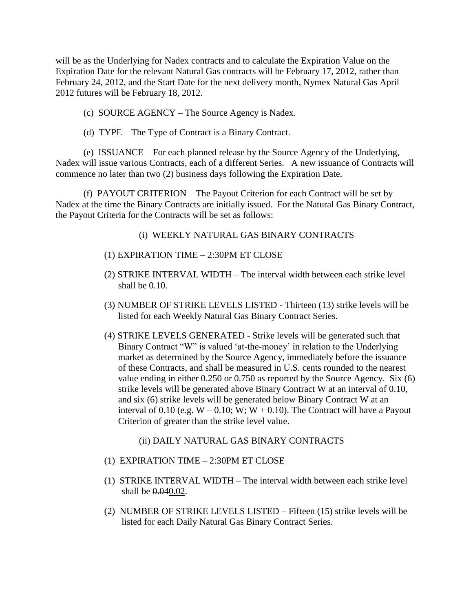will be as the Underlying for Nadex contracts and to calculate the Expiration Value on the Expiration Date for the relevant Natural Gas contracts will be February 17, 2012, rather than February 24, 2012, and the Start Date for the next delivery month, Nymex Natural Gas April 2012 futures will be February 18, 2012.

- (c) SOURCE AGENCY The Source Agency is Nadex.
- (d) TYPE The Type of Contract is a Binary Contract.

(e) ISSUANCE – For each planned release by the Source Agency of the Underlying, Nadex will issue various Contracts, each of a different Series. A new issuance of Contracts will commence no later than two (2) business days following the Expiration Date.

(f) PAYOUT CRITERION – The Payout Criterion for each Contract will be set by Nadex at the time the Binary Contracts are initially issued. For the Natural Gas Binary Contract, the Payout Criteria for the Contracts will be set as follows:

(i) WEEKLY NATURAL GAS BINARY CONTRACTS

- (1) EXPIRATION TIME 2:30PM ET CLOSE
- (2) STRIKE INTERVAL WIDTH The interval width between each strike level shall be 0.10.
- (3) NUMBER OF STRIKE LEVELS LISTED Thirteen (13) strike levels will be listed for each Weekly Natural Gas Binary Contract Series.
- (4) STRIKE LEVELS GENERATED Strike levels will be generated such that Binary Contract "W" is valued 'at-the-money' in relation to the Underlying market as determined by the Source Agency, immediately before the issuance of these Contracts, and shall be measured in U.S. cents rounded to the nearest value ending in either 0.250 or 0.750 as reported by the Source Agency. Six (6) strike levels will be generated above Binary Contract W at an interval of 0.10, and six (6) strike levels will be generated below Binary Contract W at an interval of 0.10 (e.g.  $W - 0.10$ ;  $W$ ;  $W + 0.10$ ). The Contract will have a Payout Criterion of greater than the strike level value.

# (ii) DAILY NATURAL GAS BINARY CONTRACTS

- (1) EXPIRATION TIME 2:30PM ET CLOSE
- (1) STRIKE INTERVAL WIDTH The interval width between each strike level shall be  $0.040.02$ .
- (2) NUMBER OF STRIKE LEVELS LISTED Fifteen (15) strike levels will be listed for each Daily Natural Gas Binary Contract Series.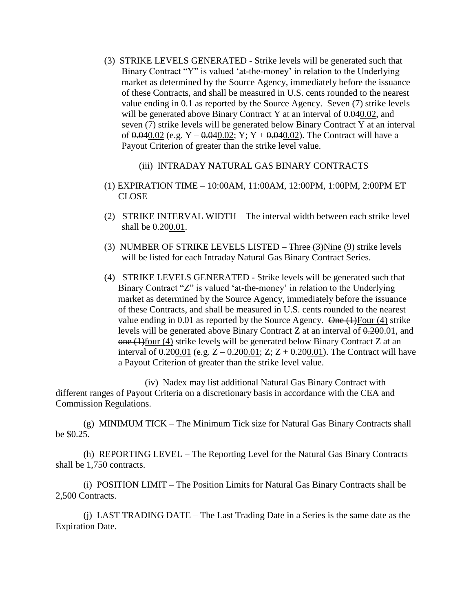- (3) STRIKE LEVELS GENERATED Strike levels will be generated such that Binary Contract "Y" is valued 'at-the-money' in relation to the Underlying market as determined by the Source Agency, immediately before the issuance of these Contracts, and shall be measured in U.S. cents rounded to the nearest value ending in 0.1 as reported by the Source Agency. Seven (7) strike levels will be generated above Binary Contract Y at an interval of  $0.04002$ , and seven (7) strike levels will be generated below Binary Contract Y at an interval of  $0.040.02$  (e.g. Y –  $0.040.02$ ; Y; Y +  $0.040.02$ ). The Contract will have a Payout Criterion of greater than the strike level value.
	- (iii) INTRADAY NATURAL GAS BINARY CONTRACTS
- (1) EXPIRATION TIME 10:00AM, 11:00AM, 12:00PM, 1:00PM, 2:00PM ET CLOSE
- (2) STRIKE INTERVAL WIDTH The interval width between each strike level shall be  $0.200.01$ .
- (3) NUMBER OF STRIKE LEVELS LISTED  $\frac{1}{2}$  Three (3)Nine (9) strike levels will be listed for each Intraday Natural Gas Binary Contract Series.
- (4) STRIKE LEVELS GENERATED Strike levels will be generated such that Binary Contract "Z" is valued 'at-the-money' in relation to the Underlying market as determined by the Source Agency, immediately before the issuance of these Contracts, and shall be measured in U.S. cents rounded to the nearest value ending in 0.01 as reported by the Source Agency.  $\Theta$ ne  $(1)$ Four (4) strike levels will be generated above Binary Contract Z at an interval of  $0.200001$ , and  $\theta$  one (1)four (4) strike levels will be generated below Binary Contract Z at an interval of  $0.200.01$  (e.g.  $Z - 0.200.01$ ; Z;  $Z + 0.200.01$ ). The Contract will have a Payout Criterion of greater than the strike level value.

(iv) Nadex may list additional Natural Gas Binary Contract with different ranges of Payout Criteria on a discretionary basis in accordance with the CEA and Commission Regulations.

(g) MINIMUM TICK – The Minimum Tick size for Natural Gas Binary Contracts shall be \$0.25.

(h) REPORTING LEVEL – The Reporting Level for the Natural Gas Binary Contracts shall be 1,750 contracts.

(i) POSITION LIMIT – The Position Limits for Natural Gas Binary Contracts shall be 2,500 Contracts.

(j) LAST TRADING DATE – The Last Trading Date in a Series is the same date as the Expiration Date.